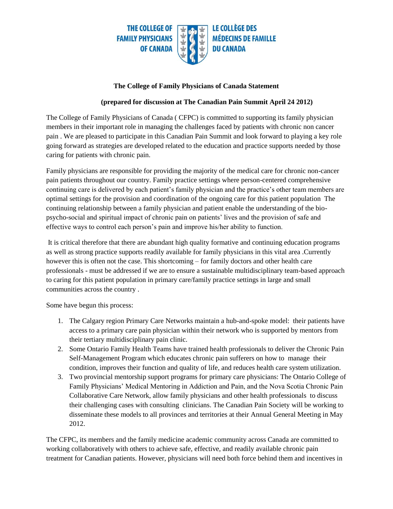

## **The College of Family Physicians of Canada Statement**

## **(prepared for discussion at The Canadian Pain Summit April 24 2012)**

The College of Family Physicians of Canada ( CFPC) is committed to supporting its family physician members in their important role in managing the challenges faced by patients with chronic non cancer pain . We are pleased to participate in this Canadian Pain Summit and look forward to playing a key role going forward as strategies are developed related to the education and practice supports needed by those caring for patients with chronic pain.

Family physicians are responsible for providing the majority of the medical care for chronic non-cancer pain patients throughout our country. Family practice settings where person-centered comprehensive continuing care is delivered by each patient's family physician and the practice's other team members are optimal settings for the provision and coordination of the ongoing care for this patient population The continuing relationship between a family physician and patient enable the understanding of the biopsycho-social and spiritual impact of chronic pain on patients' lives and the provision of safe and effective ways to control each person's pain and improve his/her ability to function.

It is critical therefore that there are abundant high quality formative and continuing education programs as well as strong practice supports readily available for family physicians in this vital area .Currently however this is often not the case. This shortcoming – for family doctors and other health care professionals - must be addressed if we are to ensure a sustainable multidisciplinary team-based approach to caring for this patient population in primary care/family practice settings in large and small communities across the country .

Some have begun this process:

- 1. The Calgary region Primary Care Networks maintain a hub-and-spoke model: their patients have access to a primary care pain physician within their network who is supported by mentors from their tertiary multidisciplinary pain clinic.
- 2. Some Ontario Family Health Teams have trained health professionals to deliver the Chronic Pain Self-Management Program which educates chronic pain sufferers on how to manage their condition, improves their function and quality of life, and reduces health care system utilization.
- 3. Two provincial mentorship support programs for primary care physicians: The Ontario College of Family Physicians' Medical Mentoring in Addiction and Pain, and the Nova Scotia Chronic Pain Collaborative Care Network, allow family physicians and other health professionals to discuss their challenging cases with consulting clinicians. The Canadian Pain Society will be working to disseminate these models to all provinces and territories at their Annual General Meeting in May 2012.

The CFPC, its members and the family medicine academic community across Canada are committed to working collaboratively with others to achieve safe, effective, and readily available chronic pain treatment for Canadian patients. However, physicians will need both force behind them and incentives in